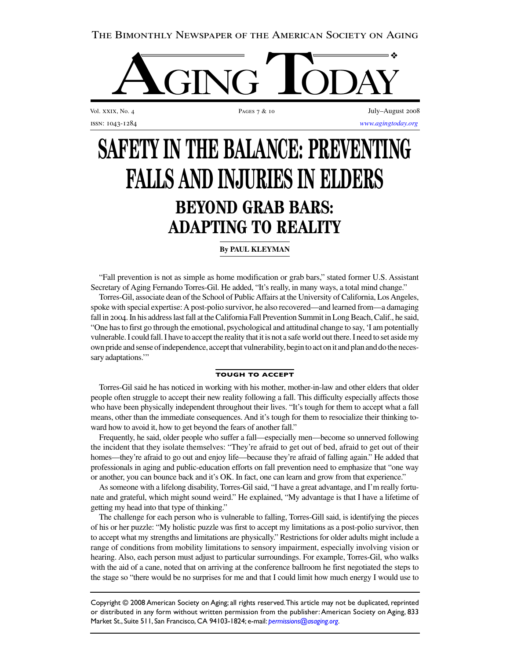# The Bimonthly Newspaper of the American Society on Aging



Vol. XXIX, No. 4 **PAGES 7** & 10 **PAGES 7** & 10 **July–August 2008** issn: 1043-1284 *[www.agingtoday.org](http://www.agingtoday.org)*

# **SAFETY IN THE BALANCE: PREVENTING FALLS AND INJURIES IN ELDERS BEYOND GRAB BARS: ADAPTING TO REALITY**

## **By PAUL KLEYMAN**

"Fall prevention is not as simple as home modification or grab bars," stated former U.S. Assistant Secretary of Aging Fernando Torres-Gil. He added, "It's really, in many ways, a total mind change."

Torres-Gil, associate dean of the School of Public Affairs at the University of California, Los Angeles, spoke with special expertise: A post-polio survivor, he also recovered—and learned from—a damaging fall in 2004. In his address last fall at the California Fall Prevention Summit in Long Beach, Calif., he said, "One has to first go through the emotional, psychological and attitudinal change to say, 'I am potentially vulnerable. I could fall. I have to accept the reality that it is not a safe world out there. I need to set aside my own pride and sense of independence, accept that vulnerability, begin to act on it and plan and do the necessary adaptations."

#### **TOUGH TO ACCEPT**

Torres-Gil said he has noticed in working with his mother, mother-in-law and other elders that older people often struggle to accept their new reality following a fall. This difficulty especially affects those who have been physically independent throughout their lives. "It's tough for them to accept what a fall means, other than the immediate consequences. And it's tough for them to resocialize their thinking toward how to avoid it, how to get beyond the fears of another fall."

Frequently, he said, older people who suffer a fall—especially men—become so unnerved following the incident that they isolate themselves: "They're afraid to get out of bed, afraid to get out of their homes—they're afraid to go out and enjoy life—because they're afraid of falling again." He added that professionals in aging and public-education efforts on fall prevention need to emphasize that "one way or another, you can bounce back and it's OK. In fact, one can learn and grow from that experience."

As someone with a lifelong disability, Torres-Gil said, "I have a great advantage, and I'm really fortunate and grateful, which might sound weird." He explained, "My advantage is that I have a lifetime of getting my head into that type of thinking."

The challenge for each person who is vulnerable to falling, Torres-Gill said, is identifying the pieces of his or her puzzle: "My holistic puzzle was first to accept my limitations as a post-polio survivor, then to accept what my strengths and limitations are physically." Restrictions for older adults might include a range of conditions from mobility limitations to sensory impairment, especially involving vision or hearing. Also, each person must adjust to particular surroundings. For example, Torres-Gil, who walks with the aid of a cane, noted that on arriving at the conference ballroom he first negotiated the steps to the stage so "there would be no surprises for me and that I could limit how much energy I would use to

Copyright © 2008 American Society on Aging; all rights reserved.This article may not be duplicated, reprinted or distributed in any form without written permission from the publisher: American Society on Aging, 833 Market St., Suite 511, San Francisco, CA 94103-1824; e-mail: *[permissions@asaging.org](mailto:permissions@asaging.org)*.